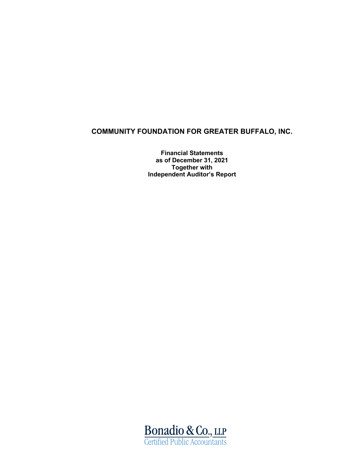**Financial Statements as of December 31, 2021 Together with Independent Auditor's Report**

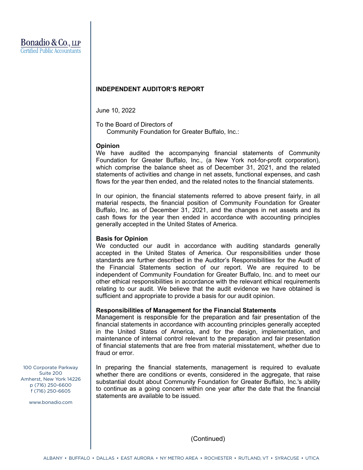## **INDEPENDENT AUDITOR'S REPORT**

June 10, 2022

To the Board of Directors of Community Foundation for Greater Buffalo, Inc.:

#### **Opinion**

We have audited the accompanying financial statements of Community Foundation for Greater Buffalo, Inc., (a New York not-for-profit corporation), which comprise the balance sheet as of December 31, 2021, and the related statements of activities and change in net assets, functional expenses, and cash flows for the year then ended, and the related notes to the financial statements.

In our opinion, the financial statements referred to above present fairly, in all material respects, the financial position of Community Foundation for Greater Buffalo, Inc. as of December 31, 2021, and the changes in net assets and its cash flows for the year then ended in accordance with accounting principles generally accepted in the United States of America.

## **Basis for Opinion**

We conducted our audit in accordance with auditing standards generally accepted in the United States of America. Our responsibilities under those standards are further described in the Auditor's Responsibilities for the Audit of the Financial Statements section of our report. We are required to be independent of Community Foundation for Greater Buffalo, Inc. and to meet our other ethical responsibilities in accordance with the relevant ethical requirements relating to our audit. We believe that the audit evidence we have obtained is sufficient and appropriate to provide a basis for our audit opinion.

#### **Responsibilities of Management for the Financial Statements**

Management is responsible for the preparation and fair presentation of the financial statements in accordance with accounting principles generally accepted in the United States of America, and for the design, implementation, and maintenance of internal control relevant to the preparation and fair presentation of financial statements that are free from material misstatement, whether due to fraud or error.

In preparing the financial statements, management is required to evaluate whether there are conditions or events, considered in the aggregate, that raise substantial doubt about Community Foundation for Greater Buffalo, Inc.'s ability to continue as a going concern within one year after the date that the financial statements are available to be issued.

100 Corporate Parkway Suite 200 Amherst, New York 14226 p (716) 250-6600 f (716) 250-6605

www.bonadio.com

(Continued)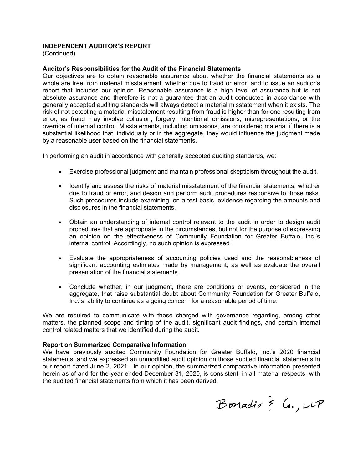## **INDEPENDENT AUDITOR'S REPORT**

(Continued)

## **Auditor's Responsibilities for the Audit of the Financial Statements**

Our objectives are to obtain reasonable assurance about whether the financial statements as a whole are free from material misstatement, whether due to fraud or error, and to issue an auditor's report that includes our opinion. Reasonable assurance is a high level of assurance but is not absolute assurance and therefore is not a guarantee that an audit conducted in accordance with generally accepted auditing standards will always detect a material misstatement when it exists. The risk of not detecting a material misstatement resulting from fraud is higher than for one resulting from error, as fraud may involve collusion, forgery, intentional omissions, misrepresentations, or the override of internal control. Misstatements, including omissions, are considered material if there is a substantial likelihood that, individually or in the aggregate, they would influence the judgment made by a reasonable user based on the financial statements.

In performing an audit in accordance with generally accepted auditing standards, we:

- Exercise professional judgment and maintain professional skepticism throughout the audit.
- Identify and assess the risks of material misstatement of the financial statements, whether due to fraud or error, and design and perform audit procedures responsive to those risks. Such procedures include examining, on a test basis, evidence regarding the amounts and disclosures in the financial statements.
- Obtain an understanding of internal control relevant to the audit in order to design audit procedures that are appropriate in the circumstances, but not for the purpose of expressing an opinion on the effectiveness of Community Foundation for Greater Buffalo, Inc.'s internal control. Accordingly, no such opinion is expressed.
- Evaluate the appropriateness of accounting policies used and the reasonableness of significant accounting estimates made by management, as well as evaluate the overall presentation of the financial statements.
- Conclude whether, in our judgment, there are conditions or events, considered in the aggregate, that raise substantial doubt about Community Foundation for Greater Buffalo, Inc.'s ability to continue as a going concern for a reasonable period of time.

We are required to communicate with those charged with governance regarding, among other matters, the planned scope and timing of the audit, significant audit findings, and certain internal control related matters that we identified during the audit.

#### **Report on Summarized Comparative Information**

We have previously audited Community Foundation for Greater Buffalo, Inc.'s 2020 financial statements, and we expressed an unmodified audit opinion on those audited financial statements in our report dated June 2, 2021. In our opinion, the summarized comparative information presented herein as of and for the year ended December 31, 2020, is consistent, in all material respects, with the audited financial statements from which it has been derived.

Bonadio & Co., LLP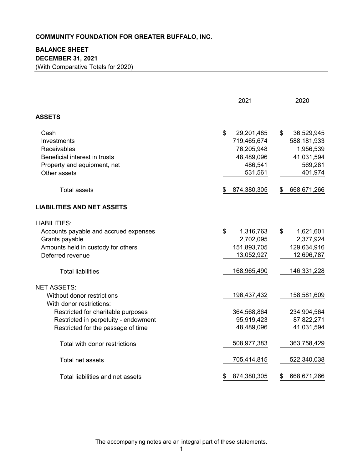# **BALANCE SHEET DECEMBER 31, 2021**

(With Comparative Totals for 2020)

|                                             | 2021               | 2020               |
|---------------------------------------------|--------------------|--------------------|
| <b>ASSETS</b>                               |                    |                    |
| Cash                                        | \$<br>29,201,485   | \$<br>36,529,945   |
| Investments                                 | 719,465,674        | 588,181,933        |
| Receivables                                 | 76,205,948         | 1,956,539          |
| Beneficial interest in trusts               | 48,489,096         | 41,031,594         |
| Property and equipment, net<br>Other assets | 486,541<br>531,561 | 569,281<br>401,974 |
|                                             |                    |                    |
| <b>Total assets</b>                         | 874,380,305<br>S   | 668,671,266<br>\$  |
| <b>LIABILITIES AND NET ASSETS</b>           |                    |                    |
| <b>LIABILITIES:</b>                         |                    |                    |
| Accounts payable and accrued expenses       | \$<br>1,316,763    | \$<br>1,621,601    |
| Grants payable                              | 2,702,095          | 2,377,924          |
| Amounts held in custody for others          | 151,893,705        | 129,634,916        |
| Deferred revenue                            | 13,052,927         | 12,696,787         |
| <b>Total liabilities</b>                    | 168,965,490        | 146,331,228        |
| <b>NET ASSETS:</b>                          |                    |                    |
| Without donor restrictions                  | 196,437,432        | 158,581,609        |
| With donor restrictions:                    |                    |                    |
| Restricted for charitable purposes          | 364,568,864        | 234,904,564        |
| Restricted in perpetuity - endowment        | 95,919,423         | 87,822,271         |
| Restricted for the passage of time          | 48,489,096         | 41,031,594         |
| Total with donor restrictions               | 508,977,383        | 363,758,429        |
| Total net assets                            | 705,414,815        | 522,340,038        |
| Total liabilities and net assets            | 874,380,305<br>\$  | 668,671,266<br>\$  |

The accompanying notes are an integral part of these statements.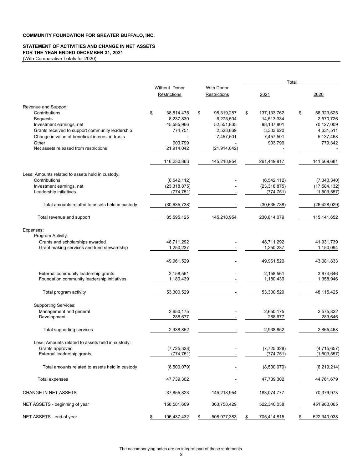## **STATEMENT OF ACTIVITIES AND CHANGE IN NET ASSETS FOR THE YEAR ENDED DECEMBER 31, 2021**

(With Comparative Totals for 2020)

|                                                  |                               |                                   | Total               |                   |
|--------------------------------------------------|-------------------------------|-----------------------------------|---------------------|-------------------|
|                                                  | Without Donor<br>Restrictions | <b>With Donor</b><br>Restrictions | 2021                | 2020              |
| Revenue and Support:                             |                               |                                   |                     |                   |
| Contributions                                    | \$<br>38,814,475              | \$<br>98,319,287                  | 137, 133, 762<br>\$ | \$<br>58,323,625  |
| <b>Beauests</b>                                  | 8,237,830                     | 6,275,504                         | 14,513,334          | 2,570,726         |
| Investment earnings, net                         | 45,585,966                    | 52,551,835                        | 98,137,801          | 70,127,009        |
| Grants received to support community leadership  | 774,751                       | 2,528,869                         | 3,303,620           | 4,631,511         |
| Change in value of beneficial interest in trusts |                               | 7,457,501                         | 7,457,501           | 5,137,468         |
| Other                                            | 903,799                       |                                   | 903,799             | 779,342           |
| Net assets released from restrictions            | 21,914,042                    | (21, 914, 042)                    |                     |                   |
|                                                  | 116,230,863                   | 145,218,954                       | 261,449,817         | 141,569,681       |
| Less: Amounts related to assets held in custody: |                               |                                   |                     |                   |
| Contributions                                    | (6, 542, 112)                 |                                   | (6, 542, 112)       | (7, 340, 340)     |
| Investment earnings, net                         | (23, 318, 875)                |                                   | (23, 318, 875)      | (17, 584, 132)    |
| Leadership initiatives                           | (774, 751)                    |                                   | (774, 751)          | (1,503,557)       |
| Total amounts related to assets held in custody  | (30, 635, 738)                |                                   | (30,635,738)        | (26, 428, 029)    |
| Total revenue and support                        | 85,595,125                    | 145,218,954                       | 230,814,079         | 115,141,652       |
|                                                  |                               |                                   |                     |                   |
| Expenses:<br>Program Activity:                   |                               |                                   |                     |                   |
| Grants and scholarships awarded                  | 48,711,292                    |                                   | 48,711,292          | 41,931,739        |
| Grant making services and fund stewardship       | 1,250,237                     |                                   | 1,250,237           | 1,150,094         |
|                                                  | 49,961,529                    |                                   | 49,961,529          | 43,081,833        |
| External community leadership grants             | 2,158,561                     |                                   | 2,158,561           | 3,674,646         |
| Foundation community leadership initiatives      | 1,180,439                     |                                   | 1,180,439           | 1,358,946         |
| Total program activity                           | 53,300,529                    |                                   | 53,300,529          | 48,115,425        |
| <b>Supporting Services:</b>                      |                               |                                   |                     |                   |
| Management and general                           | 2,650,175                     |                                   | 2,650,175           | 2,575,822         |
| Development                                      | 288,677                       |                                   | 288,677             | 289,646           |
| Total supporting services                        | 2,938,852                     |                                   | 2,938,852           | 2,865,468         |
| Less: Amounts related to assets held in custody: |                               |                                   |                     |                   |
| Grants approved                                  | (7, 725, 328)                 |                                   | (7, 725, 328)       | (4,715,657)       |
| External leadership grants                       | (774, 751)                    |                                   | (774, 751)          | (1,503,557)       |
| Total amounts related to assets held in custody  | (8,500,079)                   |                                   | (8,500,079)         | (6, 219, 214)     |
| <b>Total expenses</b>                            | 47,739,302                    |                                   | 47,739,302          | 44,761,679        |
| CHANGE IN NET ASSETS                             | 37,855,823                    | 145,218,954                       | 183,074,777         | 70,379,973        |
| NET ASSETS - beginning of year                   | 158,581,609                   | 363,758,429                       | 522,340,038         | 451,960,065       |
| NET ASSETS - end of year                         | \$<br>196,437,432             | \$<br>508,977,383                 | \$<br>705,414,815   | 522,340,038<br>\$ |

The accompanying notes are an integral part of these statements.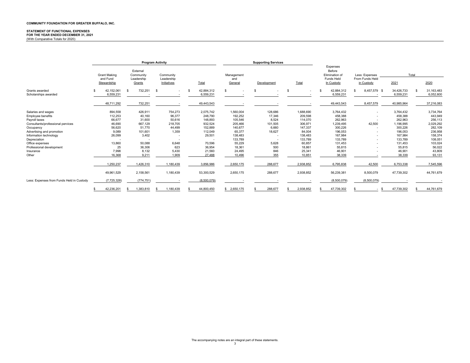#### **STATEMENT OF FUNCTIONAL EXPENSES**

**FOR THE YEAR ENDED DECEMBER 31, 2021** (With Comparative Totals for 2020)

|                                                                                                                                                                                                                                                               |                                                                                                        | <b>Program Activity</b>                                                                                    |    |                                                                                             |                                                                                                                    |                                                                                                                               | <b>Supporting Services</b>                                                                                                                     |                                                                                                                               |                                                                                                                                   |                                                 |                                                                                                                                   |       |                                                                                                                                   |
|---------------------------------------------------------------------------------------------------------------------------------------------------------------------------------------------------------------------------------------------------------------|--------------------------------------------------------------------------------------------------------|------------------------------------------------------------------------------------------------------------|----|---------------------------------------------------------------------------------------------|--------------------------------------------------------------------------------------------------------------------|-------------------------------------------------------------------------------------------------------------------------------|------------------------------------------------------------------------------------------------------------------------------------------------|-------------------------------------------------------------------------------------------------------------------------------|-----------------------------------------------------------------------------------------------------------------------------------|-------------------------------------------------|-----------------------------------------------------------------------------------------------------------------------------------|-------|-----------------------------------------------------------------------------------------------------------------------------------|
|                                                                                                                                                                                                                                                               | <b>Grant Making</b><br>and Fund<br>Stewardship                                                         | External<br>Community<br>Leadership<br>Grants                                                              |    | Community<br>Leadership<br>Initiatives                                                      | Total                                                                                                              | Management<br>and<br>General                                                                                                  | Development                                                                                                                                    | Total                                                                                                                         | Expenses<br>Before<br>Elimination of<br><b>Funds Held</b><br>In Custody                                                           | Less: Expenses<br>From Funds Held<br>in Custody | 2021                                                                                                                              | Total | 2020                                                                                                                              |
| Grants awarded<br>Scholarships awarded                                                                                                                                                                                                                        | 42,152,061<br>6,559,231                                                                                | 732,251                                                                                                    | -S |                                                                                             | 42.884.312<br>6,559,231                                                                                            |                                                                                                                               |                                                                                                                                                |                                                                                                                               | 42.884.312<br>6,559,231                                                                                                           | 8,457,579 \$                                    | 34,426,733<br>6,559,231                                                                                                           |       | 31,163,483<br>6,052,600                                                                                                           |
|                                                                                                                                                                                                                                                               | 48,711,292                                                                                             | 732,251                                                                                                    |    |                                                                                             | 49,443,543                                                                                                         |                                                                                                                               |                                                                                                                                                |                                                                                                                               | 49,443,543                                                                                                                        | 8,457,579                                       | 40,985,964                                                                                                                        |       | 37,216,083                                                                                                                        |
| Salaries and wages<br><b>Employee benefits</b><br>Payroll taxes<br>Consultants/professional pervices<br>Occupancy<br>Advertising and promotion<br>Information technology<br>Depreciation<br>Office expenses<br>Professional development<br>Insurance<br>Other | 894,558<br>112,253<br>66,677<br>46,690<br>56,620<br>9,089<br>26,099<br>13,860<br>25<br>7,998<br>16,368 | 426,911<br>40,160<br>31,600<br>667,129<br>51,770<br>101,601<br>3,402<br>50,088<br>36,306<br>8,132<br>9,211 |    | 754.273<br>96,377<br>50,616<br>218,705<br>44.499<br>1,359<br>6,648<br>623<br>5,430<br>1,909 | 2,075,742<br>248,790<br>148,893<br>932,524<br>152.889<br>112,049<br>29,501<br>70,596<br>36,954<br>21,560<br>27,488 | 1,560,004<br>192,252<br>105,546<br>205,466<br>140,677<br>65,377<br>138,483<br>133,789<br>55,229<br>18,361<br>24,495<br>10,496 | 128,686<br>17,346<br>8,524<br>101,505<br>6.660<br>18,627<br>$\overline{\phantom{a}}$<br>$\overline{\phantom{a}}$<br>5,628<br>500<br>846<br>355 | 1,688,690<br>209,598<br>114,070<br>306,971<br>147,337<br>84,004<br>138,483<br>133,789<br>60,857<br>18,861<br>25,341<br>10,851 | 3,764,432<br>458,388<br>262,963<br>1,239,495<br>300,226<br>196,053<br>167,984<br>133,789<br>131,453<br>55,815<br>46,901<br>38,339 | $\overline{\phantom{a}}$<br>42,500              | 3,764,432<br>458,388<br>262,963<br>1,196,995<br>300,226<br>196,053<br>167,984<br>133,789<br>131,453<br>55,815<br>46,901<br>38,339 |       | 3,734,764<br>443,949<br>256,113<br>2,029,292<br>282,109<br>236,958<br>158,374<br>108,051<br>103,024<br>56,022<br>43,809<br>93,131 |
|                                                                                                                                                                                                                                                               | 1,250,237<br>49,961,529                                                                                | 1,426,310<br>2,158,561                                                                                     |    | 180,439<br>1,180,439                                                                        | 3,856,986<br>53,300,529                                                                                            | 2,650,175<br>2,650,175                                                                                                        | 288,677<br>288,677                                                                                                                             | 2,938,852<br>2,938,852                                                                                                        | 6,795,838<br>56,239,381                                                                                                           | 42,500<br>8,500,079                             | 6,753,338<br>47,739,302                                                                                                           |       | 7,545,596<br>44,761,679                                                                                                           |
| Less: Expenses from Funds Held in Custody                                                                                                                                                                                                                     | (7, 725, 328)<br>42,236,201                                                                            | (774, 751)<br>1,383,810                                                                                    |    | .180,439                                                                                    | (8,500,079)<br>44,800,450                                                                                          | 2,650,175                                                                                                                     | 288,677                                                                                                                                        | 2,938,852                                                                                                                     | (8,500,079)<br>47,739,302                                                                                                         | (8,500,079)                                     | 47,739,302                                                                                                                        |       | 44,761,679                                                                                                                        |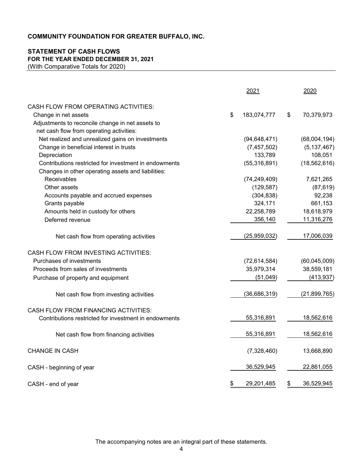## **STATEMENT OF CASH FLOWS FOR THE YEAR ENDED DECEMBER 31, 2021**

(With Comparative Totals for 2020)

|                                                       | 2021              | 2020             |
|-------------------------------------------------------|-------------------|------------------|
| CASH FLOW FROM OPERATING ACTIVITIES:                  |                   |                  |
| Change in net assets                                  | \$<br>183,074,777 | \$<br>70,379,973 |
| Adjustments to reconcile change in net assets to      |                   |                  |
| net cash flow from operating activities:              |                   |                  |
| Net realized and unrealized gains on investments      | (94, 648, 471)    | (68,004,194)     |
| Change in beneficial interest in trusts               | (7, 457, 502)     | (5, 137, 467)    |
| Depreciation                                          | 133,789           | 108,051          |
| Contributions restricted for investment in endowments | (55,316,891)      | (18, 562, 616)   |
| Changes in other operating assets and liabilities:    |                   |                  |
| Receivables                                           | (74, 249, 409)    | 7,621,265        |
| Other assets                                          | (129, 587)        | (87, 619)        |
| Accounts payable and accrued expenses                 | (304, 838)        | 92,238           |
| Grants payable                                        | 324,171           | 661,153          |
| Amounts held in custody for others                    | 22,258,789        | 18,618,979       |
| Deferred revenue                                      | 356,140           | 11,316,276       |
| Net cash flow from operating activities               | (25,959,032)      | 17,006,039       |
| CASH FLOW FROM INVESTING ACTIVITIES:                  |                   |                  |
| Purchases of investments                              | (72, 614, 584)    | (60,045,009)     |
| Proceeds from sales of investments                    | 35,979,314        | 38,559,181       |
| Purchase of property and equipment                    | (51,049)          | (413, 937)       |
| Net cash flow from investing activities               | (36,686,319)      | (21, 899, 765)   |
| <b>CASH FLOW FROM FINANCING ACTIVITIES:</b>           |                   |                  |
| Contributions restricted for investment in endowments | 55,316,891        | 18,562,616       |
| Net cash flow from financing activities               | 55,316,891        | 18,562,616       |
| <b>CHANGE IN CASH</b>                                 | (7,328,460)       | 13,668,890       |
| CASH - beginning of year                              | 36,529,945        | 22,861,055       |
| CASH - end of year                                    | \$<br>29,201,485  | \$<br>36,529,945 |

The accompanying notes are an integral part of these statements.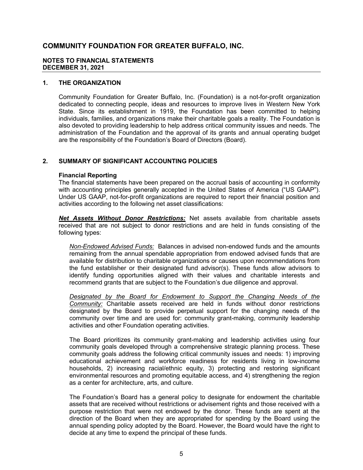#### **NOTES TO FINANCIAL STATEMENTS DECEMBER 31, 2021**

### **1. THE ORGANIZATION**

Community Foundation for Greater Buffalo, Inc. (Foundation) is a not-for-profit organization dedicated to connecting people, ideas and resources to improve lives in Western New York State. Since its establishment in 1919, the Foundation has been committed to helping individuals, families, and organizations make their charitable goals a reality. The Foundation is also devoted to providing leadership to help address critical community issues and needs. The administration of the Foundation and the approval of its grants and annual operating budget are the responsibility of the Foundation's Board of Directors (Board).

## **2. SUMMARY OF SIGNIFICANT ACCOUNTING POLICIES**

## **Financial Reporting**

The financial statements have been prepared on the accrual basis of accounting in conformity with accounting principles generally accepted in the United States of America ("US GAAP"). Under US GAAP, not-for-profit organizations are required to report their financial position and activities according to the following net asset classifications:

*Net Assets Without Donor Restrictions:* Net assets available from charitable assets received that are not subject to donor restrictions and are held in funds consisting of the following types:

*Non-Endowed Advised Funds:* Balances in advised non-endowed funds and the amounts remaining from the annual spendable appropriation from endowed advised funds that are available for distribution to charitable organizations or causes upon recommendations from the fund establisher or their designated fund advisor(s). These funds allow advisors to identify funding opportunities aligned with their values and charitable interests and recommend grants that are subject to the Foundation's due diligence and approval.

*Designated by the Board for Endowment to Support the Changing Needs of the Community:* Charitable assets received are held in funds without donor restrictions designated by the Board to provide perpetual support for the changing needs of the community over time and are used for: community grant-making, community leadership activities and other Foundation operating activities.

The Board prioritizes its community grant-making and leadership activities using four community goals developed through a comprehensive strategic planning process. These community goals address the following critical community issues and needs: 1) improving educational achievement and workforce readiness for residents living in low-income households, 2) increasing racial/ethnic equity, 3) protecting and restoring significant environmental resources and promoting equitable access, and 4) strengthening the region as a center for architecture, arts, and culture.

The Foundation's Board has a general policy to designate for endowment the charitable assets that are received without restrictions or advisement rights and those received with a purpose restriction that were not endowed by the donor. These funds are spent at the direction of the Board when they are appropriated for spending by the Board using the annual spending policy adopted by the Board. However, the Board would have the right to decide at any time to expend the principal of these funds.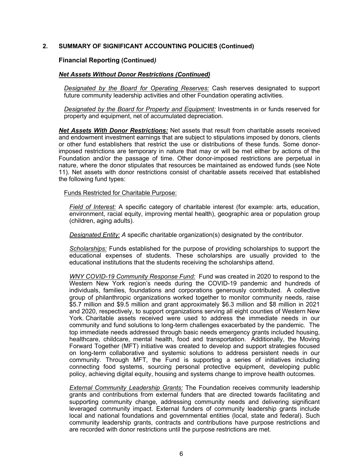## **Financial Reporting (Continued***)*

### *Net Assets Without Donor Restrictions (Continued)*

*Designated by the Board for Operating Reserves:* Cash reserves designated to support future community leadership activities and other Foundation operating activities.

*Designated by the Board for Property and Equipment:* Investments in or funds reserved for property and equipment, net of accumulated depreciation.

*Net Assets With Donor Restrictions:* Net assets that result from charitable assets received and endowment investment earnings that are subject to stipulations imposed by donors, clients or other fund establishers that restrict the use or distributions of these funds. Some donorimposed restrictions are temporary in nature that may or will be met either by actions of the Foundation and/or the passage of time. Other donor-imposed restrictions are perpetual in nature, where the donor stipulates that resources be maintained as endowed funds (see Note 11). Net assets with donor restrictions consist of charitable assets received that established the following fund types:

#### Funds Restricted for Charitable Purpose:

*Field of Interest:* A specific category of charitable interest (for example: arts, education, environment, racial equity, improving mental health), geographic area or population group (children, aging adults).

*Designated Entity: A* specific charitable organization(s) designated by the contributor.

*Scholarships:* Funds established for the purpose of providing scholarships to support the educational expenses of students. These scholarships are usually provided to the educational institutions that the students receiving the scholarships attend.

*WNY COVID-19 Community Response Fund:* Fund was created in 2020 to respond to the Western New York region's needs during the COVID-19 pandemic and hundreds of individuals, families, foundations and corporations generously contributed. A collective group of philanthropic organizations worked together to monitor community needs, raise \$5.7 million and \$9.5 million and grant approximately \$6.3 million and \$8 million in 2021 and 2020, respectively, to support organizations serving all eight counties of Western New York. Charitable assets received were used to address the immediate needs in our community and fund solutions to long-term challenges exacerbated by the pandemic. The top immediate needs addressed through basic needs emergency grants included housing, healthcare, childcare, mental health, food and transportation. Additionally, the Moving Forward Together (MFT) initiative was created to develop and support strategies focused on long-term collaborative and systemic solutions to address persistent needs in our community. Through MFT, the Fund is supporting a series of initiatives including connecting food systems, sourcing personal protective equipment, developing public policy, achieving digital equity, housing and systems change to improve health outcomes.

*External Community Leadership Grants:* The Foundation receives community leadership grants and contributions from external funders that are directed towards facilitating and supporting community change, addressing community needs and delivering significant leveraged community impact. External funders of community leadership grants include local and national foundations and governmental entities (local, state and federal). Such community leadership grants, contracts and contributions have purpose restrictions and are recorded with donor restrictions until the purpose restrictions are met.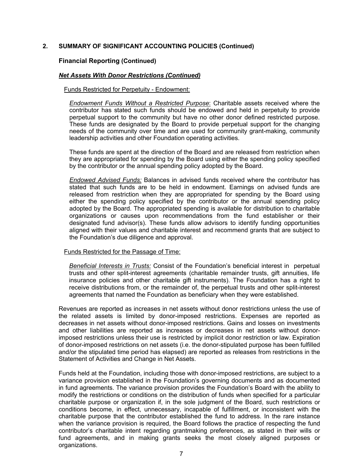## **Financial Reporting (Continued)**

## *Net Assets With Donor Restrictions (Continued)*

Funds Restricted for Perpetuity - Endowment:

*Endowment Funds Without a Restricted Purpose*: Charitable assets received where the contributor has stated such funds should be endowed and held in perpetuity to provide perpetual support to the community but have no other donor defined restricted purpose. These funds are designated by the Board to provide perpetual support for the changing needs of the community over time and are used for community grant-making, community leadership activities and other Foundation operating activities.

These funds are spent at the direction of the Board and are released from restriction when they are appropriated for spending by the Board using either the spending policy specified by the contributor or the annual spending policy adopted by the Board.

*Endowed Advised Funds:* Balances in advised funds received where the contributor has stated that such funds are to be held in endowment. Earnings on advised funds are released from restriction when they are appropriated for spending by the Board using either the spending policy specified by the contributor or the annual spending policy adopted by the Board. The appropriated spending is available for distribution to charitable organizations or causes upon recommendations from the fund establisher or their designated fund advisor(s). These funds allow advisors to identify funding opportunities aligned with their values and charitable interest and recommend grants that are subject to the Foundation's due diligence and approval.

## Funds Restricted for the Passage of Time:

 *Beneficial Interests in Trusts:* Consist of the Foundation's beneficial interest in perpetual trusts and other split-interest agreements (charitable remainder trusts, gift annuities, life insurance policies and other charitable gift instruments). The Foundation has a right to receive distributions from, or the remainder of, the perpetual trusts and other split-interest agreements that named the Foundation as beneficiary when they were established.

Revenues are reported as increases in net assets without donor restrictions unless the use of the related assets is limited by donor-imposed restrictions. Expenses are reported as decreases in net assets without donor-imposed restrictions. Gains and losses on investments and other liabilities are reported as increases or decreases in net assets without donorimposed restrictions unless their use is restricted by implicit donor restriction or law. Expiration of donor-imposed restrictions on net assets (i.e. the donor-stipulated purpose has been fulfilled and/or the stipulated time period has elapsed) are reported as releases from restrictions in the Statement of Activities and Change in Net Assets.

Funds held at the Foundation, including those with donor-imposed restrictions, are subject to a variance provision established in the Foundation's governing documents and as documented in fund agreements. The variance provision provides the Foundation's Board with the ability to modify the restrictions or conditions on the distribution of funds when specified for a particular charitable purpose or organization if, in the sole judgment of the Board, such restrictions or conditions become, in effect, unnecessary, incapable of fulfillment, or inconsistent with the charitable purpose that the contributor established the fund to address. In the rare instance when the variance provision is required, the Board follows the practice of respecting the fund contributor's charitable intent regarding grantmaking preferences, as stated in their wills or fund agreements, and in making grants seeks the most closely aligned purposes or organizations.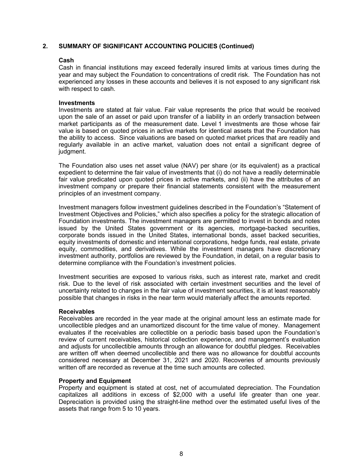#### **Cash**

Cash in financial institutions may exceed federally insured limits at various times during the year and may subject the Foundation to concentrations of credit risk. The Foundation has not experienced any losses in these accounts and believes it is not exposed to any significant risk with respect to cash.

#### **Investments**

Investments are stated at fair value. Fair value represents the price that would be received upon the sale of an asset or paid upon transfer of a liability in an orderly transaction between market participants as of the measurement date. Level 1 investments are those whose fair value is based on quoted prices in active markets for identical assets that the Foundation has the ability to access. Since valuations are based on quoted market prices that are readily and regularly available in an active market, valuation does not entail a significant degree of judgment.

The Foundation also uses net asset value (NAV) per share (or its equivalent) as a practical expedient to determine the fair value of investments that (i) do not have a readily determinable fair value predicated upon quoted prices in active markets, and (ii) have the attributes of an investment company or prepare their financial statements consistent with the measurement principles of an investment company.

Investment managers follow investment guidelines described in the Foundation's "Statement of Investment Objectives and Policies," which also specifies a policy for the strategic allocation of Foundation investments. The investment managers are permitted to invest in bonds and notes issued by the United States government or its agencies, mortgage-backed securities, corporate bonds issued in the United States, international bonds, asset backed securities, equity investments of domestic and international corporations, hedge funds, real estate, private equity, commodities, and derivatives. While the investment managers have discretionary investment authority, portfolios are reviewed by the Foundation, in detail, on a regular basis to determine compliance with the Foundation's investment policies.

Investment securities are exposed to various risks, such as interest rate, market and credit risk. Due to the level of risk associated with certain investment securities and the level of uncertainty related to changes in the fair value of investment securities, it is at least reasonably possible that changes in risks in the near term would materially affect the amounts reported.

#### **Receivables**

Receivables are recorded in the year made at the original amount less an estimate made for uncollectible pledges and an unamortized discount for the time value of money. Management evaluates if the receivables are collectible on a periodic basis based upon the Foundation's review of current receivables, historical collection experience, and management's evaluation and adjusts for uncollectible amounts through an allowance for doubtful pledges. Receivables are written off when deemed uncollectible and there was no allowance for doubtful accounts considered necessary at December 31, 2021 and 2020. Recoveries of amounts previously written off are recorded as revenue at the time such amounts are collected.

#### **Property and Equipment**

Property and equipment is stated at cost, net of accumulated depreciation. The Foundation capitalizes all additions in excess of \$2,000 with a useful life greater than one year. Depreciation is provided using the straight-line method over the estimated useful lives of the assets that range from 5 to 10 years.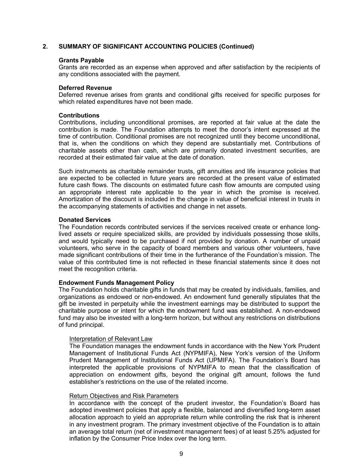#### **Grants Payable**

Grants are recorded as an expense when approved and after satisfaction by the recipients of any conditions associated with the payment.

#### **Deferred Revenue**

Deferred revenue arises from grants and conditional gifts received for specific purposes for which related expenditures have not been made.

#### **Contributions**

Contributions, including unconditional promises, are reported at fair value at the date the contribution is made. The Foundation attempts to meet the donor's intent expressed at the time of contribution. Conditional promises are not recognized until they become unconditional, that is, when the conditions on which they depend are substantially met. Contributions of charitable assets other than cash, which are primarily donated investment securities, are recorded at their estimated fair value at the date of donation.

Such instruments as charitable remainder trusts, gift annuities and life insurance policies that are expected to be collected in future years are recorded at the present value of estimated future cash flows. The discounts on estimated future cash flow amounts are computed using an appropriate interest rate applicable to the year in which the promise is received. Amortization of the discount is included in the change in value of beneficial interest in trusts in the accompanying statements of activities and change in net assets.

#### **Donated Services**

The Foundation records contributed services if the services received create or enhance longlived assets or require specialized skills, are provided by individuals possessing those skills, and would typically need to be purchased if not provided by donation. A number of unpaid volunteers, who serve in the capacity of board members and various other volunteers, have made significant contributions of their time in the furtherance of the Foundation's mission. The value of this contributed time is not reflected in these financial statements since it does not meet the recognition criteria.

#### **Endowment Funds Management Policy**

The Foundation holds charitable gifts in funds that may be created by individuals, families, and organizations as endowed or non-endowed. An endowment fund generally stipulates that the gift be invested in perpetuity while the investment earnings may be distributed to support the charitable purpose or intent for which the endowment fund was established. A non-endowed fund may also be invested with a long-term horizon, but without any restrictions on distributions of fund principal.

#### Interpretation of Relevant Law

The Foundation manages the endowment funds in accordance with the New York Prudent Management of Institutional Funds Act (NYPMIFA), New York's version of the Uniform Prudent Management of Institutional Funds Act (UPMIFA). The Foundation's Board has interpreted the applicable provisions of NYPMIFA to mean that the classification of appreciation on endowment gifts, beyond the original gift amount, follows the fund establisher's restrictions on the use of the related income.

#### Return Objectives and Risk Parameters

In accordance with the concept of the prudent investor, the Foundation's Board has adopted investment policies that apply a flexible, balanced and diversified long-term asset allocation approach to yield an appropriate return while controlling the risk that is inherent in any investment program. The primary investment objective of the Foundation is to attain an average total return (net of investment management fees) of at least 5.25% adjusted for inflation by the Consumer Price Index over the long term.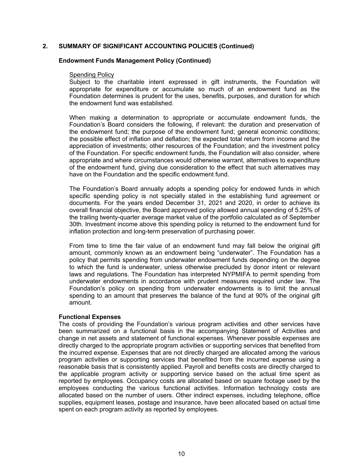#### **Endowment Funds Management Policy (Continued)**

#### Spending Policy

Subject to the charitable intent expressed in gift instruments, the Foundation will appropriate for expenditure or accumulate so much of an endowment fund as the Foundation determines is prudent for the uses, benefits, purposes, and duration for which the endowment fund was established.

When making a determination to appropriate or accumulate endowment funds, the Foundation's Board considers the following, if relevant: the duration and preservation of the endowment fund; the purpose of the endowment fund; general economic conditions; the possible effect of inflation and deflation; the expected total return from income and the appreciation of investments; other resources of the Foundation; and the investment policy of the Foundation. For specific endowment funds, the Foundation will also consider, where appropriate and where circumstances would otherwise warrant, alternatives to expenditure of the endowment fund, giving due consideration to the effect that such alternatives may have on the Foundation and the specific endowment fund.

The Foundation's Board annually adopts a spending policy for endowed funds in which specific spending policy is not specially stated in the establishing fund agreement or documents. For the years ended December 31, 2021 and 2020, in order to achieve its overall financial objective, the Board approved policy allowed annual spending of 5.25% of the trailing twenty-quarter average market value of the portfolio calculated as of September 30th. Investment income above this spending policy is returned to the endowment fund for inflation protection and long-term preservation of purchasing power.

From time to time the fair value of an endowment fund may fall below the original gift amount, commonly known as an endowment being "underwater". The Foundation has a policy that permits spending from underwater endowment funds depending on the degree to which the fund is underwater, unless otherwise precluded by donor intent or relevant laws and regulations. The Foundation has interpreted NYPMIFA to permit spending from underwater endowments in accordance with prudent measures required under law. The Foundation's policy on spending from underwater endowments is to limit the annual spending to an amount that preserves the balance of the fund at 90% of the original gift amount.

### **Functional Expenses**

The costs of providing the Foundation's various program activities and other services have been summarized on a functional basis in the accompanying Statement of Activities and change in net assets and statement of functional expenses. Whenever possible expenses are directly charged to the appropriate program activities or supporting services that benefited from the incurred expense. Expenses that are not directly charged are allocated among the various program activities or supporting services that benefited from the incurred expense using a reasonable basis that is consistently applied. Payroll and benefits costs are directly charged to the applicable program activity or supporting service based on the actual time spent as reported by employees. Occupancy costs are allocated based on square footage used by the employees conducting the various functional activities. Information technology costs are allocated based on the number of users. Other indirect expenses, including telephone, office supplies, equipment leases, postage and insurance, have been allocated based on actual time spent on each program activity as reported by employees.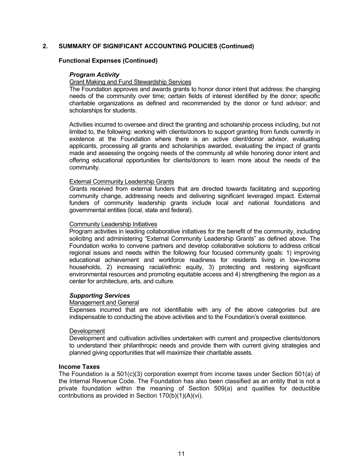## **Functional Expenses (Continued)**

### *Program Activity*

### Grant Making and Fund Stewardship Services

The Foundation approves and awards grants to honor donor intent that address: the changing needs of the community over time; certain fields of interest identified by the donor; specific charitable organizations as defined and recommended by the donor or fund advisor; and scholarships for students.

Activities incurred to oversee and direct the granting and scholarship process including, but not limited to, the following: working with clients/donors to support granting from funds currently in existence at the Foundation where there is an active client/donor advisor, evaluating applicants, processing all grants and scholarships awarded, evaluating the impact of grants made and assessing the ongoing needs of the community all while honoring donor intent and offering educational opportunities for clients/donors to learn more about the needs of the community.

#### External Community Leadership Grants

Grants received from external funders that are directed towards facilitating and supporting community change, addressing needs and delivering significant leveraged impact. External funders of community leadership grants include local and national foundations and governmental entities (local, state and federal).

## Community Leadership Initiatives

Program activities in leading collaborative initiatives for the benefit of the community, including soliciting and administering "External Community Leadership Grants" as defined above. The Foundation works to convene partners and develop collaborative solutions to address critical regional issues and needs within the following four focused community goals: 1) improving educational achievement and workforce readiness for residents living in low-income households, 2) increasing racial/ethnic equity, 3) protecting and restoring significant environmental resources and promoting equitable access and 4) strengthening the region as a center for architecture, arts, and culture.

## *Supporting Services*

#### Management and General

Expenses incurred that are not identifiable with any of the above categories but are indispensable to conducting the above activities and to the Foundation's overall existence.

#### **Development**

Development and cultivation activities undertaken with current and prospective clients/donors to understand their philanthropic needs and provide them with current giving strategies and planned giving opportunities that will maximize their charitable assets.

## **Income Taxes**

The Foundation is a 501(c)(3) corporation exempt from income taxes under Section 501(a) of the Internal Revenue Code. The Foundation has also been classified as an entity that is not a private foundation within the meaning of Section 509(a) and qualifies for deductible contributions as provided in Section 170(b)(1)(A)(vi).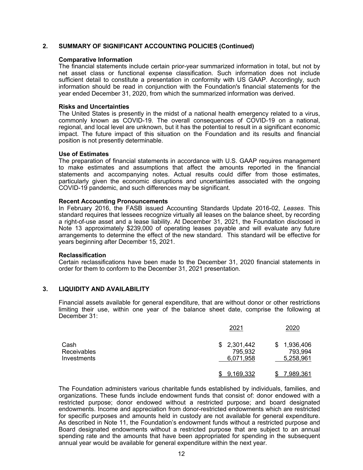#### **Comparative Information**

The financial statements include certain prior-year summarized information in total, but not by net asset class or functional expense classification. Such information does not include sufficient detail to constitute a presentation in conformity with US GAAP. Accordingly, such information should be read in conjunction with the Foundation's financial statements for the year ended December 31, 2020, from which the summarized information was derived.

#### **Risks and Uncertainties**

The United States is presently in the midst of a national health emergency related to a virus, commonly known as COVID-19. The overall consequences of COVID-19 on a national, regional, and local level are unknown, but it has the potential to result in a significant economic impact. The future impact of this situation on the Foundation and its results and financial position is not presently determinable.

#### **Use of Estimates**

The preparation of financial statements in accordance with U.S. GAAP requires management to make estimates and assumptions that affect the amounts reported in the financial statements and accompanying notes. Actual results could differ from those estimates, particularly given the economic disruptions and uncertainties associated with the ongoing COVID-19 pandemic, and such differences may be significant.

#### **Recent Accounting Pronouncements**

In February 2016, the FASB issued Accounting Standards Update 2016-02, *Leases*. This standard requires that lessees recognize virtually all leases on the balance sheet, by recording a right-of-use asset and a lease liability. At December 31, 2021, the Foundation disclosed in Note 13 approximately \$239,000 of operating leases payable and will evaluate any future arrangements to determine the effect of the new standard. This standard will be effective for years beginning after December 15, 2021.

#### **Reclassification**

Certain reclassifications have been made to the December 31, 2020 financial statements in order for them to conform to the December 31, 2021 presentation.

## **3. LIQUIDITY AND AVAILABILITY**

Financial assets available for general expenditure, that are without donor or other restrictions limiting their use, within one year of the balance sheet date, comprise the following at December 31:

|                                           | 2021                                | 2020                                    |
|-------------------------------------------|-------------------------------------|-----------------------------------------|
| Cash<br><b>Receivables</b><br>Investments | \$2,301,442<br>795,932<br>6,071,958 | 1,936,406<br>\$<br>793,994<br>5,258,961 |
|                                           | 9,169,332                           | <u>7,989,361</u>                        |

The Foundation administers various charitable funds established by individuals, families, and organizations. These funds include endowment funds that consist of: donor endowed with a restricted purpose; donor endowed without a restricted purpose; and board designated endowments. Income and appreciation from donor-restricted endowments which are restricted for specific purposes and amounts held in custody are not available for general expenditure. As described in Note 11, the Foundation's endowment funds without a restricted purpose and Board designated endowments without a restricted purpose that are subject to an annual spending rate and the amounts that have been appropriated for spending in the subsequent annual year would be available for general expenditure within the next year.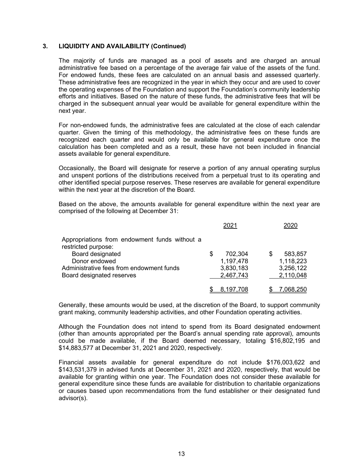## **3. LIQUIDITY AND AVAILABILITY (Continued)**

The majority of funds are managed as a pool of assets and are charged an annual administrative fee based on a percentage of the average fair value of the assets of the fund. For endowed funds, these fees are calculated on an annual basis and assessed quarterly. These administrative fees are recognized in the year in which they occur and are used to cover the operating expenses of the Foundation and support the Foundation's community leadership efforts and initiatives. Based on the nature of these funds, the administrative fees that will be charged in the subsequent annual year would be available for general expenditure within the next year.

For non-endowed funds, the administrative fees are calculated at the close of each calendar quarter. Given the timing of this methodology, the administrative fees on these funds are recognized each quarter and would only be available for general expenditure once the calculation has been completed and as a result, these have not been included in financial assets available for general expenditure.

Occasionally, the Board will designate for reserve a portion of any annual operating surplus and unspent portions of the distributions received from a perpetual trust to its operating and other identified special purpose reserves. These reserves are available for general expenditure within the next year at the discretion of the Board.

Based on the above, the amounts available for general expenditure within the next year are comprised of the following at December 31:

|                                                                      |   | 2021      |   | 2020      |
|----------------------------------------------------------------------|---|-----------|---|-----------|
| Appropriations from endowment funds without a<br>restricted purpose: |   |           |   |           |
| Board designated                                                     | S | 702,304   | S | 583,857   |
| Donor endowed                                                        |   | 1,197,478 |   | 1,118,223 |
| Administrative fees from endowment funds                             |   | 3,830,183 |   | 3,256,122 |
| Board designated reserves                                            |   | 2,467,743 |   | 2,110,048 |
|                                                                      |   | 8.197.    |   | 068,250   |

Generally, these amounts would be used, at the discretion of the Board, to support community grant making, community leadership activities, and other Foundation operating activities.

Although the Foundation does not intend to spend from its Board designated endowment (other than amounts appropriated per the Board's annual spending rate approval), amounts could be made available, if the Board deemed necessary, totaling \$16,802,195 and \$14,883,577 at December 31, 2021 and 2020, respectively.

Financial assets available for general expenditure do not include \$176,003,622 and \$143,531,379 in advised funds at December 31, 2021 and 2020, respectively, that would be available for granting within one year. The Foundation does not consider these available for general expenditure since these funds are available for distribution to charitable organizations or causes based upon recommendations from the fund establisher or their designated fund advisor(s).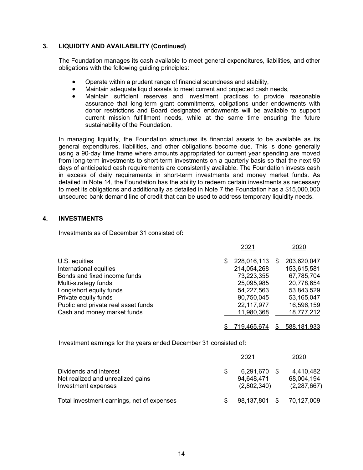## **3. LIQUIDITY AND AVAILABILITY (Continued)**

The Foundation manages its cash available to meet general expenditures, liabilities, and other obligations with the following guiding principles:

- Operate within a prudent range of financial soundness and stability,
- Maintain adequate liquid assets to meet current and projected cash needs,
- Maintain sufficient reserves and investment practices to provide reasonable assurance that long-term grant commitments, obligations under endowments with donor restrictions and Board designated endowments will be available to support current mission fulfillment needs, while at the same time ensuring the future sustainability of the Foundation.

In managing liquidity, the Foundation structures its financial assets to be available as its general expenditures, liabilities, and other obligations become due. This is done generally using a 90-day time frame where amounts appropriated for current year spending are moved from long-term investments to short-term investments on a quarterly basis so that the next 90 days of anticipated cash requirements are consistently available. The Foundation invests cash in excess of daily requirements in short-term investments and money market funds. As detailed in Note 14, the Foundation has the ability to redeem certain investments as necessary to meet its obligations and additionally as detailed in Note 7 the Foundation has a \$15,000,000 unsecured bank demand line of credit that can be used to address temporary liquidity needs.

## **4. INVESTMENTS**

Investments as of December 31 consisted of**:**

|                                     |     | 2021        |   | 2020        |
|-------------------------------------|-----|-------------|---|-------------|
| U.S. equities                       | \$. | 228,016,113 | S | 203,620,047 |
| International equities              |     | 214,054,268 |   | 153,615,581 |
| Bonds and fixed income funds        |     | 73,223,355  |   | 67,785,704  |
| Multi-strategy funds                |     | 25,095,985  |   | 20,778,654  |
| Long/short equity funds             |     | 54,227,563  |   | 53,843,529  |
| Private equity funds                |     | 90,750,045  |   | 53,165,047  |
| Public and private real asset funds |     | 22,117,977  |   | 16,596,159  |
| Cash and money market funds         |     | 11,980,368  |   | 18,777,212  |
|                                     |     | 719,465,674 | S | 588,181,933 |

Investment earnings for the years ended December 31 consisted of**:**

|                                                                                    | 2021                                      | 2020                                     |
|------------------------------------------------------------------------------------|-------------------------------------------|------------------------------------------|
| Dividends and interest<br>Net realized and unrealized gains<br>Investment expenses | 6,291,670 \$<br>94,648,471<br>(2,802,340) | 4,410,482<br>68,004,194<br>(2, 287, 667) |
| Total investment earnings, net of expenses                                         | 98,137,801                                | 70,127,009                               |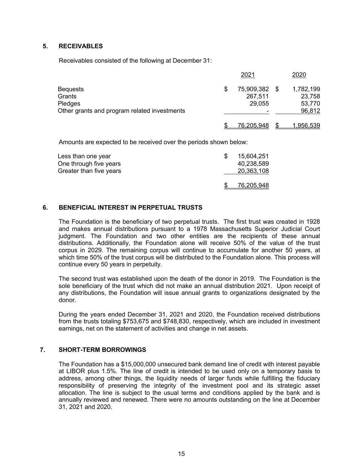## **5. RECEIVABLES**

Receivables consisted of the following at December 31:

|                                              | 2021                     |      | 2020      |
|----------------------------------------------|--------------------------|------|-----------|
| <b>Bequests</b>                              | 75,909,382               | - \$ | 1,782,199 |
| Grants                                       | 267,511                  |      | 23,758    |
| <b>Pledges</b>                               | 29,055                   |      | 53,770    |
| Other grants and program related investments | $\overline{\phantom{0}}$ |      | 96,812    |
|                                              | 76,205,948               |      | 1,956,539 |

Amounts are expected to be received over the periods shown below:

| Less than one year<br>One through five years<br>Greater than five years | 15,604,251<br>40,238,589<br>20,363,108 |
|-------------------------------------------------------------------------|----------------------------------------|
|                                                                         | 76,205,948                             |

## **6. BENEFICIAL INTEREST IN PERPETUAL TRUSTS**

The Foundation is the beneficiary of two perpetual trusts. The first trust was created in 1928 and makes annual distributions pursuant to a 1978 Massachusetts Superior Judicial Court judgment. The Foundation and two other entities are the recipients of these annual distributions. Additionally, the Foundation alone will receive 50% of the value of the trust corpus in 2029. The remaining corpus will continue to accumulate for another 50 years, at which time 50% of the trust corpus will be distributed to the Foundation alone. This process will continue every 50 years in perpetuity.

The second trust was established upon the death of the donor in 2019. The Foundation is the sole beneficiary of the trust which did not make an annual distribution 2021. Upon receipt of any distributions, the Foundation will issue annual grants to organizations designated by the donor.

During the years ended December 31, 2021 and 2020, the Foundation received distributions from the trusts totaling \$753,675 and \$748,830, respectively, which are included in investment earnings, net on the statement of activities and change in net assets.

## **7. SHORT-TERM BORROWINGS**

The Foundation has a \$15,000,000 unsecured bank demand line of credit with interest payable at LIBOR plus 1.5%. The line of credit is intended to be used only on a temporary basis to address, among other things, the liquidity needs of larger funds while fulfilling the fiduciary responsibility of preserving the integrity of the investment pool and its strategic asset allocation. The line is subject to the usual terms and conditions applied by the bank and is annually reviewed and renewed. There were no amounts outstanding on the line at December 31, 2021 and 2020.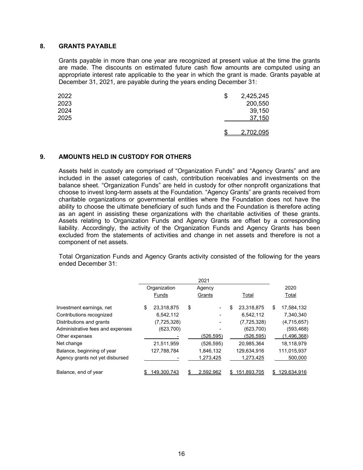## **8. GRANTS PAYABLE**

Grants payable in more than one year are recognized at present value at the time the grants are made. The discounts on estimated future cash flow amounts are computed using an appropriate interest rate applicable to the year in which the grant is made. Grants payable at December 31, 2021, are payable during the years ending December 31:

| 2022         | \$<br>2,425,245   |
|--------------|-------------------|
| 2023<br>2024 | 200,550<br>39,150 |
| 2025         | 37,150            |
|              | 2,702,095         |

## **9. AMOUNTS HELD IN CUSTODY FOR OTHERS**

Assets held in custody are comprised of "Organization Funds" and "Agency Grants" and are included in the asset categories of cash, contribution receivables and investments on the balance sheet. "Organization Funds" are held in custody for other nonprofit organizations that choose to invest long-term assets at the Foundation. "Agency Grants" are grants received from charitable organizations or governmental entities where the Foundation does not have the ability to choose the ultimate beneficiary of such funds and the Foundation is therefore acting as an agent in assisting these organizations with the charitable activities of these grants. Assets relating to Organization Funds and Agency Grants are offset by a corresponding liability. Accordingly, the activity of the Organization Funds and Agency Grants has been excluded from the statements of activities and change in net assets and therefore is not a component of net assets.

Total Organization Funds and Agency Grants activity consisted of the following for the years ended December 31:

|                                  |                  | 2021       |     |               |    |             |
|----------------------------------|------------------|------------|-----|---------------|----|-------------|
|                                  | Organization     | Agency     |     |               |    | 2020        |
|                                  | Funds            | Grants     |     | Total         |    | Total       |
| Investment earnings, net         | \$<br>23,318,875 | \$         | \$  | 23,318,875    | \$ | 17,584,132  |
| Contributions recognized         | 6,542,112        |            |     | 6,542,112     |    | 7,340,340   |
| Distributions and grants         | (7, 725, 328)    |            |     | (7, 725, 328) |    | (4,715,657) |
| Administrative fees and expenses | (623, 700)       |            |     | (623, 700)    |    | (593,468)   |
| Other expenses                   |                  | (526,595)  |     | (526, 595)    |    | (1,496,368) |
| Net change                       | 21,511,959       | (526, 595) |     | 20,985,364    |    | 18,118,979  |
| Balance, beginning of year       | 127,788,784      | 1,846,132  |     | 129,634,916   |    | 111,015,937 |
| Agency grants not yet disbursed  |                  | 1,273,425  |     | 1,273,425     |    | 500,000     |
| Balance, end of year             | 149.300.743      | 2.592.962  | \$. | 151.893.705   | S  | 129,634,916 |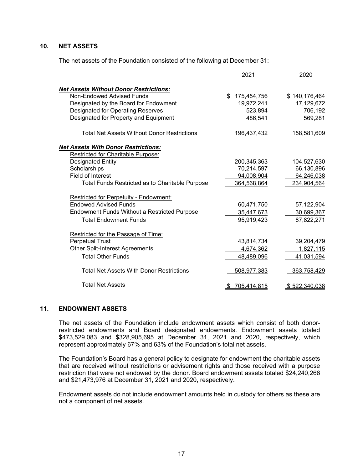## **10. NET ASSETS**

The net assets of the Foundation consisted of the following at December 31:

|                                                     | 2021              | 2020          |
|-----------------------------------------------------|-------------------|---------------|
| <b>Net Assets Without Donor Restrictions:</b>       |                   |               |
| Non-Endowed Advised Funds                           | \$<br>175,454,756 | \$140,176,464 |
| Designated by the Board for Endowment               | 19,972,241        | 17,129,672    |
| <b>Designated for Operating Reserves</b>            | 523,894           | 706,192       |
| Designated for Property and Equipment               | 486,541           | 569,281       |
| <b>Total Net Assets Without Donor Restrictions</b>  | 196,437,432       | 158,581,609   |
| <b>Net Assets With Donor Restrictions:</b>          |                   |               |
| Restricted for Charitable Purpose:                  |                   |               |
| <b>Designated Entity</b>                            | 200,345,363       | 104,527,630   |
| Scholarships                                        | 70,214,597        | 66,130,896    |
| <b>Field of Interest</b>                            | 94,008,904        | 64,246,038    |
| Total Funds Restricted as to Charitable Purpose     | 364,568,864       | 234,904,564   |
| <b>Restricted for Perpetuity - Endowment:</b>       |                   |               |
| <b>Endowed Advised Funds</b>                        | 60,471,750        | 57,122,904    |
| <b>Endowment Funds Without a Restricted Purpose</b> | 35,447,673        | 30,699,367    |
| <b>Total Endowment Funds</b>                        | 95,919,423        | 87,822,271    |
| Restricted for the Passage of Time:                 |                   |               |
| <b>Perpetual Trust</b>                              | 43,814,734        | 39,204,479    |
| <b>Other Split-Interest Agreements</b>              | 4,674,362         | 1,827,115     |
| <b>Total Other Funds</b>                            | 48,489,096        | 41,031,594    |
| <b>Total Net Assets With Donor Restrictions</b>     | 508,977,383       | 363,758,429   |
| <b>Total Net Assets</b>                             | \$705,414,815     | \$522,340,038 |

#### **11. ENDOWMENT ASSETS**

The net assets of the Foundation include endowment assets which consist of both donorrestricted endowments and Board designated endowments. Endowment assets totaled \$473,529,083 and \$328,905,695 at December 31, 2021 and 2020, respectively, which represent approximately 67% and 63% of the Foundation's total net assets.

The Foundation's Board has a general policy to designate for endowment the charitable assets that are received without restrictions or advisement rights and those received with a purpose restriction that were not endowed by the donor. Board endowment assets totaled \$24,240,266 and \$21,473,976 at December 31, 2021 and 2020, respectively.

Endowment assets do not include endowment amounts held in custody for others as these are not a component of net assets.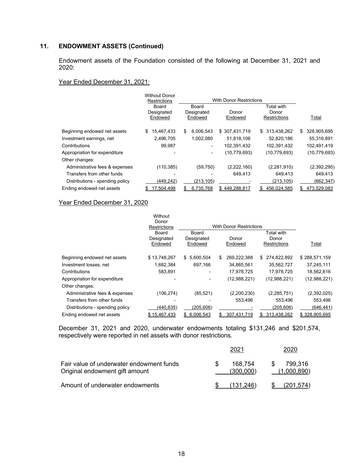## **11. ENDOWMENT ASSETS (Continued)**

Endowment assets of the Foundation consisted of the following at December 31, 2021 and 2020:

## Year Ended December 31, 2021:

|                                 | <b>Without Donor</b><br><b>Restrictions</b> |                                | <b>With Donor Restrictions</b> |                                            |                   |
|---------------------------------|---------------------------------------------|--------------------------------|--------------------------------|--------------------------------------------|-------------------|
|                                 | Board<br>Designated<br>Endowed              | Board<br>Designated<br>Endowed | Donor<br>Endowed               | Total with<br>Donor<br><b>Restrictions</b> | Total             |
| Beginning endowed net assets    | 15.467.433<br>\$                            | \$<br>6.006.543                | \$307.431.719                  | 313.438.262<br>\$                          | 328,905,695<br>\$ |
| Investment earnings, net        | 2,496,705                                   | 1,002,080                      | 51,818,106                     | 52.820.186                                 | 55,316,891        |
| Contributions                   | 99.987                                      | ۰                              | 102.391.432                    | 102.391.432                                | 102,491,419       |
| Appropriation for expenditure   |                                             | $\overline{\phantom{a}}$       | (10, 779, 693)                 | (10, 779, 693)                             | (10, 779, 693)    |
| Other changes:                  |                                             |                                |                                |                                            |                   |
| Administrative fees & expenses  | (110, 385)                                  | (59, 750)                      | (2,222,160)                    | (2,281,910)                                | (2,392,295)       |
| Transfers from other funds      |                                             |                                | 649.413                        | 649.413                                    | 649,413           |
| Distributions - spending policy | (449,242)                                   | (213, 105)                     |                                | (213, 105)                                 | (662, 347)        |
| Ending endowed net assets       | 17.504.498                                  | 6.735.768                      | \$449.288.817                  | 456.024.585                                | 473.529.083       |

## Year Ended December 31, 2020

|                                 | Without<br>Donor    |             |                                |                   |               |
|---------------------------------|---------------------|-------------|--------------------------------|-------------------|---------------|
|                                 | <b>Restrictions</b> |             | <b>With Donor Restrictions</b> |                   |               |
|                                 | Board               | Board       |                                | Total with        |               |
|                                 | Designated          | Designated  | Donor                          | Donor             |               |
|                                 | Endowed             | Endowed     | Endowed                        | Restrictions      | Total         |
| Beginning endowed net assets    | \$13,748,267        | \$5,600,504 | \$<br>269,222,388              | 274,822,892<br>\$ | \$288,571,159 |
| Investment losses, net          | 1,682,384           | 697.166     | 34,865,561                     | 35,562,727        | 37,245,111    |
| Contributions                   | 583,891             |             | 17,978,725                     | 17,978,725        | 18,562,616    |
| Appropriation for expenditure   |                     |             | (12,988,221)                   | (12,988,221)      | (12,988,221)  |
| Other changes:                  |                     |             |                                |                   |               |
| Administrative fees & expenses  | (106,274)           | (85, 521)   | (2,200,230)                    | (2, 285, 751)     | (2,392,025)   |
| Transfers from other funds      |                     |             | 553.496                        | 553.496           | 553,496       |
| Distributions - spending policy | (440,835)           | (205, 606)  |                                | (205, 606)        | (646, 441)    |
| Ending endowed net assets       | \$15.467.433        | 6.006.543   | 307.431.719                    | 313.438.262<br>S. | \$328.905.695 |

December 31, 2021 and 2020, underwater endowments totaling \$131,246 and \$201,574, respectively were reported in net assets with donor restrictions.

|                                                                            |     | 2021                 | 2020                   |
|----------------------------------------------------------------------------|-----|----------------------|------------------------|
| Fair value of underwater endowment funds<br>Original endowment gift amount | \$. | 168.754<br>(300,000) | 799.316<br>(1,000,890) |
| Amount of underwater endowments                                            |     | (131.246)            | (201,574)              |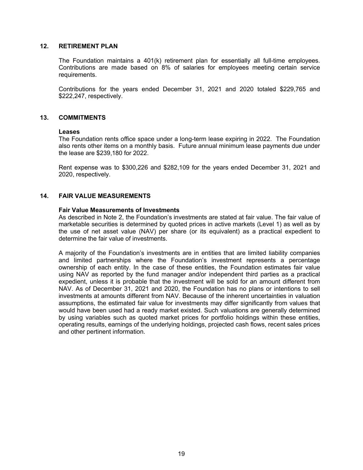## **12. RETIREMENT PLAN**

The Foundation maintains a 401(k) retirement plan for essentially all full-time employees. Contributions are made based on 8% of salaries for employees meeting certain service requirements.

Contributions for the years ended December 31, 2021 and 2020 totaled \$229,765 and \$222,247, respectively.

## **13. COMMITMENTS**

#### **Leases**

The Foundation rents office space under a long-term lease expiring in 2022. The Foundation also rents other items on a monthly basis. Future annual minimum lease payments due under the lease are \$239,180 for 2022.

Rent expense was to \$300,226 and \$282,109 for the years ended December 31, 2021 and 2020, respectively.

## **14. FAIR VALUE MEASUREMENTS**

#### **Fair Value Measurements of Investments**

As described in Note 2, the Foundation's investments are stated at fair value. The fair value of marketable securities is determined by quoted prices in active markets (Level 1) as well as by the use of net asset value (NAV) per share (or its equivalent) as a practical expedient to determine the fair value of investments.

A majority of the Foundation's investments are in entities that are limited liability companies and limited partnerships where the Foundation's investment represents a percentage ownership of each entity. In the case of these entities, the Foundation estimates fair value using NAV as reported by the fund manager and/or independent third parties as a practical expedient, unless it is probable that the investment will be sold for an amount different from NAV. As of December 31, 2021 and 2020, the Foundation has no plans or intentions to sell investments at amounts different from NAV. Because of the inherent uncertainties in valuation assumptions, the estimated fair value for investments may differ significantly from values that would have been used had a ready market existed. Such valuations are generally determined by using variables such as quoted market prices for portfolio holdings within these entities, operating results, earnings of the underlying holdings, projected cash flows, recent sales prices and other pertinent information.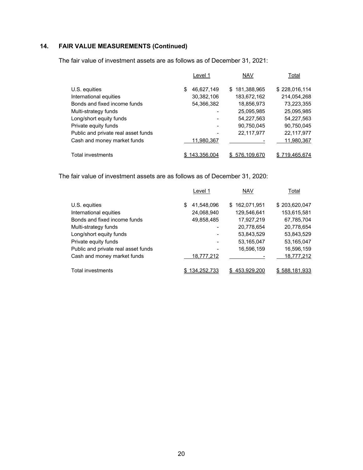# **14. FAIR VALUE MEASUREMENTS (Continued)**

The fair value of investment assets are as follows as of December 31, 2021:

|                                     | Level 1          | <b>NAV</b>    | Total         |
|-------------------------------------|------------------|---------------|---------------|
| U.S. equities                       | \$<br>46,627,149 | \$181,388,965 | \$228,016,114 |
| International equities              | 30,382,106       | 183,672,162   | 214,054,268   |
| Bonds and fixed income funds        | 54,366,382       | 18,856,973    | 73,223,355    |
| Multi-strategy funds                |                  | 25,095,985    | 25,095,985    |
| Long/short equity funds             |                  | 54,227,563    | 54,227,563    |
| Private equity funds                |                  | 90,750,045    | 90,750,045    |
| Public and private real asset funds |                  | 22,117,977    | 22,117,977    |
| Cash and money market funds         | 11,980,367       |               | 11,980,367    |
| <b>Total investments</b>            | 143.356.004      | 576.109.670   | '19.465.674   |

The fair value of investment assets are as follows as of December 31, 2020:

|                                     |   | Level 1     | <b>NAV</b>    | Total         |
|-------------------------------------|---|-------------|---------------|---------------|
| U.S. equities                       | S | 41,548,096  | \$162,071,951 | \$203,620,047 |
| International equities              |   | 24,068,940  | 129,546,641   | 153,615,581   |
| Bonds and fixed income funds        |   | 49,858,485  | 17,927,219    | 67,785,704    |
| Multi-strategy funds                |   |             | 20,778,654    | 20,778,654    |
| Long/short equity funds             |   |             | 53,843,529    | 53,843,529    |
| Private equity funds                |   |             | 53,165,047    | 53,165,047    |
| Public and private real asset funds |   |             | 16,596,159    | 16,596,159    |
| Cash and money market funds         |   | 18,777,212  |               | 18,777,212    |
| Total investments                   |   | 134.252.733 | \$453.929.200 | \$588.181.933 |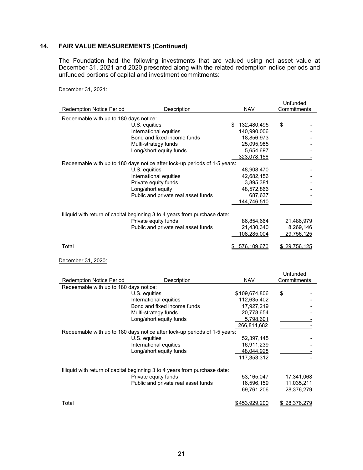## **14. FAIR VALUE MEASUREMENTS (Continued)**

The Foundation had the following investments that are valued using net asset value at December 31, 2021 and 2020 presented along with the related redemption notice periods and unfunded portions of capital and investment commitments:

December 31, 2021:

|                                        |                                                                            |                   | Unfunded     |
|----------------------------------------|----------------------------------------------------------------------------|-------------------|--------------|
| <b>Redemption Notice Period</b>        | Description                                                                | <b>NAV</b>        | Commitments  |
| Redeemable with up to 180 days notice: |                                                                            |                   |              |
|                                        | U.S. equities                                                              | 132,480,495<br>\$ | \$           |
|                                        | International equities                                                     | 140,990,006       |              |
|                                        | Bond and fixed income funds                                                | 18,856,973        |              |
|                                        | Multi-strategy funds                                                       | 25,095,985        |              |
|                                        | Long/short equity funds                                                    | 5,654,697         |              |
|                                        |                                                                            | 323,078,156       |              |
|                                        | Redeemable with up to 180 days notice after lock-up periods of 1-5 years:  |                   |              |
|                                        | U.S. equities                                                              | 48,908,470        |              |
|                                        | International equities                                                     | 42,682,156        |              |
|                                        | Private equity funds                                                       | 3,895,381         |              |
|                                        | Long/short equity                                                          | 48,572,866        |              |
|                                        | Public and private real asset funds                                        | 687,637           |              |
|                                        |                                                                            | 144,746,510       |              |
|                                        |                                                                            |                   |              |
|                                        | Illiquid with return of capital beginning 3 to 4 years from purchase date: |                   |              |
|                                        | Private equity funds                                                       | 86,854,664        | 21,486,979   |
|                                        | Public and private real asset funds                                        | 21,430,340        | 8,269,146    |
|                                        |                                                                            | 108,285,004       | 29,756,125   |
|                                        |                                                                            |                   |              |
| Total                                  |                                                                            | \$576,109,670     | \$29,756,125 |
|                                        |                                                                            |                   |              |
| <u>December 31, 2020:</u>              |                                                                            |                   |              |
|                                        |                                                                            |                   |              |
|                                        |                                                                            |                   | Unfunded     |
| <b>Redemption Notice Period</b>        | Description                                                                | <b>NAV</b>        | Commitments  |
| Redeemable with up to 180 days notice: |                                                                            |                   |              |
|                                        | U.S. equities                                                              | \$109,674,806     | \$           |
|                                        | International equities                                                     | 112,635,402       |              |
|                                        | Bond and fixed income funds                                                | 17,927,219        |              |
|                                        | Multi-strategy funds                                                       | 20,778,654        |              |
|                                        | Long/short equity funds                                                    | 5,798,601         |              |
|                                        |                                                                            | 266,814,682       |              |
|                                        | Redeemable with up to 180 days notice after lock-up periods of 1-5 years:  |                   |              |
|                                        | U.S. equities                                                              | 52,397,145        |              |
|                                        | International equities                                                     | 16,911,239        |              |
|                                        | Long/short equity funds                                                    | 48,044,928        |              |
|                                        |                                                                            | 117,353,312       |              |
|                                        |                                                                            |                   |              |
|                                        | Illiquid with return of capital beginning 3 to 4 years from purchase date: |                   |              |
|                                        | Private equity funds                                                       | 53,165,047        | 17,341,068   |
|                                        | Public and private real asset funds                                        | 16,596,159        | 11,035,211   |
|                                        |                                                                            | 69,761,206        | 28,376,279   |

| Total | \$453,929,200 | \$28.376.279 |
|-------|---------------|--------------|
|       |               |              |